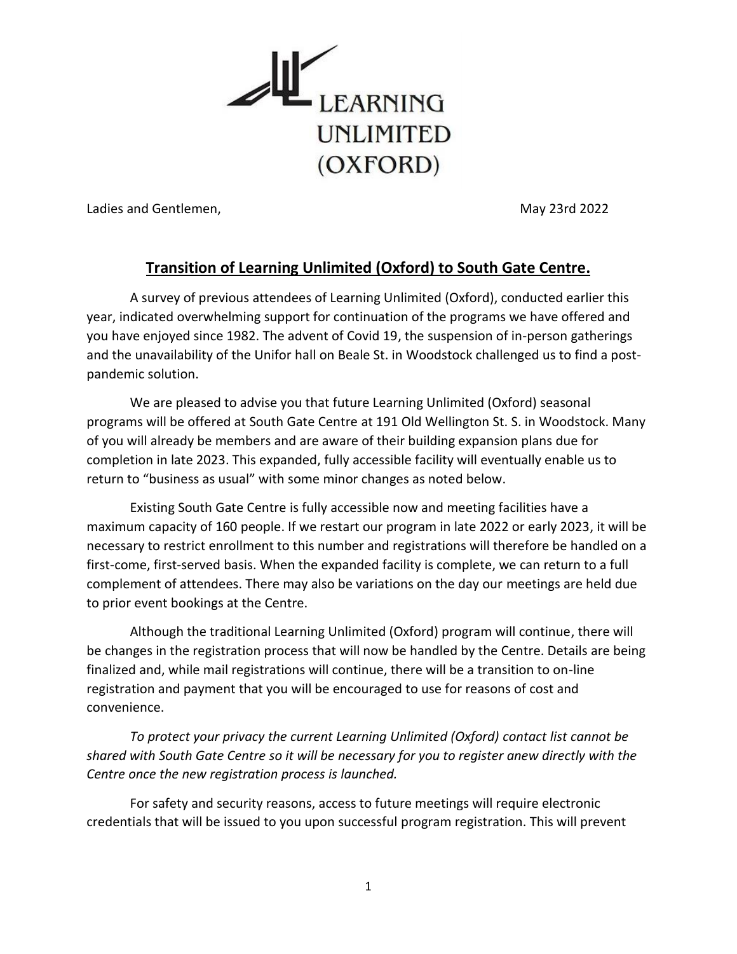

Ladies and Gentlemen, May 23rd 2022

#### **Transition of Learning Unlimited (Oxford) to South Gate Centre.**

A survey of previous attendees of Learning Unlimited (Oxford), conducted earlier this year, indicated overwhelming support for continuation of the programs we have offered and you have enjoyed since 1982. The advent of Covid 19, the suspension of in-person gatherings and the unavailability of the Unifor hall on Beale St. in Woodstock challenged us to find a postpandemic solution.

We are pleased to advise you that future Learning Unlimited (Oxford) seasonal programs will be offered at South Gate Centre at 191 Old Wellington St. S. in Woodstock. Many of you will already be members and are aware of their building expansion plans due for completion in late 2023. This expanded, fully accessible facility will eventually enable us to return to "business as usual" with some minor changes as noted below.

Existing South Gate Centre is fully accessible now and meeting facilities have a maximum capacity of 160 people. If we restart our program in late 2022 or early 2023, it will be necessary to restrict enrollment to this number and registrations will therefore be handled on a first-come, first-served basis. When the expanded facility is complete, we can return to a full complement of attendees. There may also be variations on the day our meetings are held due to prior event bookings at the Centre.

Although the traditional Learning Unlimited (Oxford) program will continue, there will be changes in the registration process that will now be handled by the Centre. Details are being finalized and, while mail registrations will continue, there will be a transition to on-line registration and payment that you will be encouraged to use for reasons of cost and convenience.

*To protect your privacy the current Learning Unlimited (Oxford) contact list cannot be shared with South Gate Centre so it will be necessary for you to register anew directly with the Centre once the new registration process is launched.*

For safety and security reasons, access to future meetings will require electronic credentials that will be issued to you upon successful program registration. This will prevent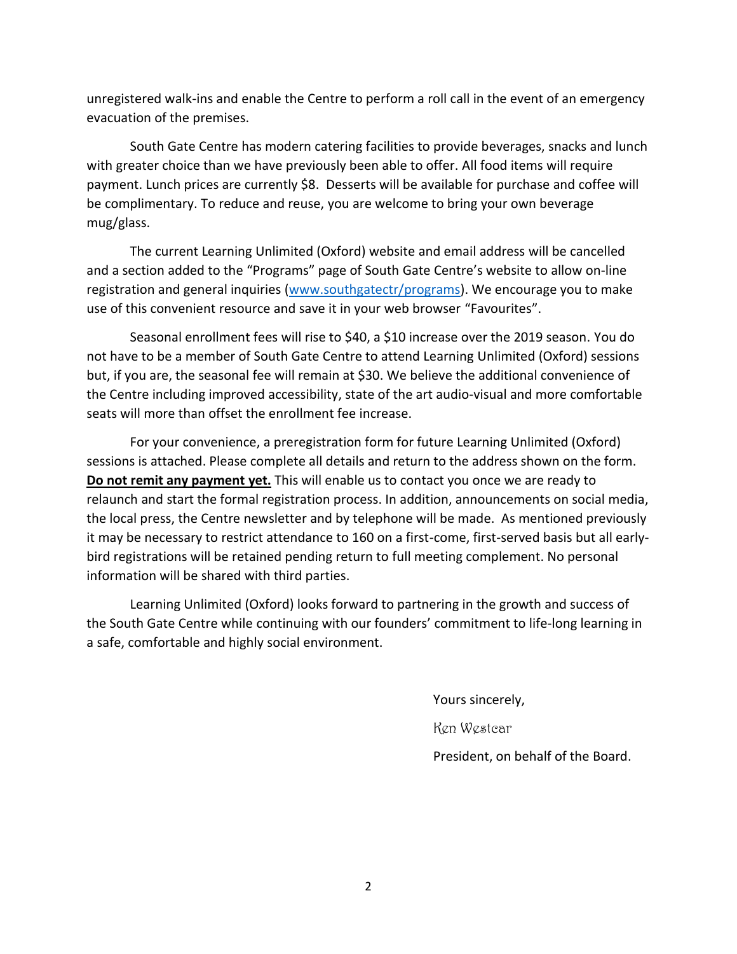unregistered walk-ins and enable the Centre to perform a roll call in the event of an emergency evacuation of the premises.

South Gate Centre has modern catering facilities to provide beverages, snacks and lunch with greater choice than we have previously been able to offer. All food items will require payment. Lunch prices are currently \$8. Desserts will be available for purchase and coffee will be complimentary. To reduce and reuse, you are welcome to bring your own beverage mug/glass.

The current Learning Unlimited (Oxford) website and email address will be cancelled and a section added to the "Programs" page of South Gate Centre's website to allow on-line registration and general inquiries [\(www.southgatectr/programs\)](http://www.southgatectr/programs). We encourage you to make use of this convenient resource and save it in your web browser "Favourites".

Seasonal enrollment fees will rise to \$40, a \$10 increase over the 2019 season. You do not have to be a member of South Gate Centre to attend Learning Unlimited (Oxford) sessions but, if you are, the seasonal fee will remain at \$30. We believe the additional convenience of the Centre including improved accessibility, state of the art audio-visual and more comfortable seats will more than offset the enrollment fee increase.

For your convenience, a preregistration form for future Learning Unlimited (Oxford) sessions is attached. Please complete all details and return to the address shown on the form. **Do not remit any payment yet.** This will enable us to contact you once we are ready to relaunch and start the formal registration process. In addition, announcements on social media, the local press, the Centre newsletter and by telephone will be made. As mentioned previously it may be necessary to restrict attendance to 160 on a first-come, first-served basis but all earlybird registrations will be retained pending return to full meeting complement. No personal information will be shared with third parties.

Learning Unlimited (Oxford) looks forward to partnering in the growth and success of the South Gate Centre while continuing with our founders' commitment to life-long learning in a safe, comfortable and highly social environment.

Yours sincerely,

Ken Westcar

President, on behalf of the Board.